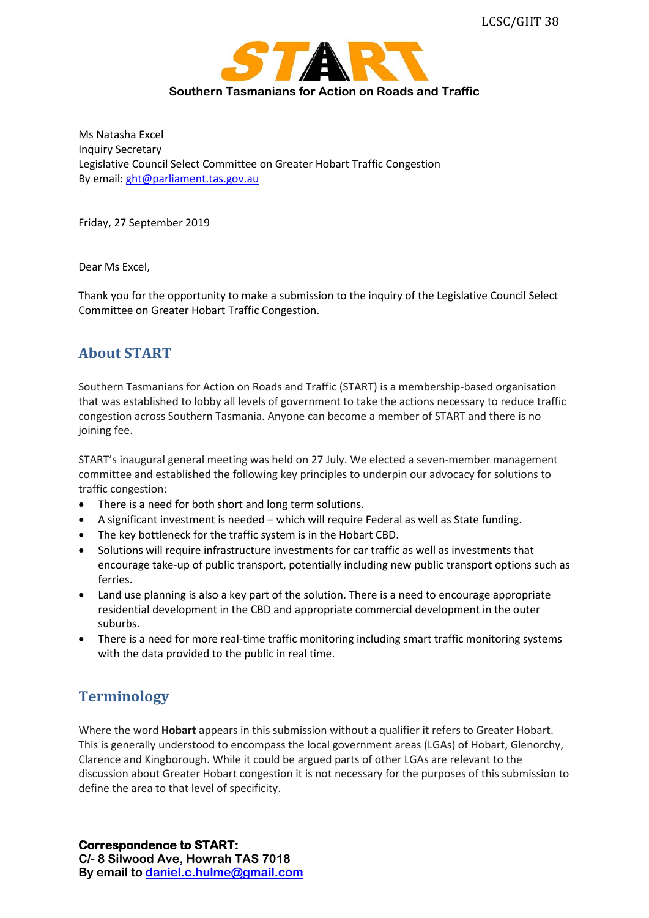

Ms Natasha Excel Inquiry Secretary Legislative Council Select Committee on Greater Hobart Traffic Congestion By email: [ght@parliament.tas.gov.au](mailto:ght@parliament.tas.gov.au)

Friday, 27 September 2019

Dear Ms Excel,

Thank you for the opportunity to make a submission to the inquiry of the Legislative Council Select Committee on Greater Hobart Traffic Congestion.

### **About START**

Southern Tasmanians for Action on Roads and Traffic (START) is a membership-based organisation that was established to lobby all levels of government to take the actions necessary to reduce traffic congestion across Southern Tasmania. Anyone can become a member of START and there is no joining fee.

START's inaugural general meeting was held on 27 July. We elected a seven-member management committee and established the following key principles to underpin our advocacy for solutions to traffic congestion:

- There is a need for both short and long term solutions.
- A significant investment is needed which will require Federal as well as State funding.
- The key bottleneck for the traffic system is in the Hobart CBD.
- Solutions will require infrastructure investments for car traffic as well as investments that encourage take-up of public transport, potentially including new public transport options such as ferries.
- Land use planning is also a key part of the solution. There is a need to encourage appropriate residential development in the CBD and appropriate commercial development in the outer suburbs.
- There is a need for more real-time traffic monitoring including smart traffic monitoring systems with the data provided to the public in real time.

## **Terminology**

Where the word **Hobart** appears in this submission without a qualifier it refers to Greater Hobart. This is generally understood to encompass the local government areas (LGAs) of Hobart, Glenorchy, Clarence and Kingborough. While it could be argued parts of other LGAs are relevant to the discussion about Greater Hobart congestion it is not necessary for the purposes of this submission to define the area to that level of specificity.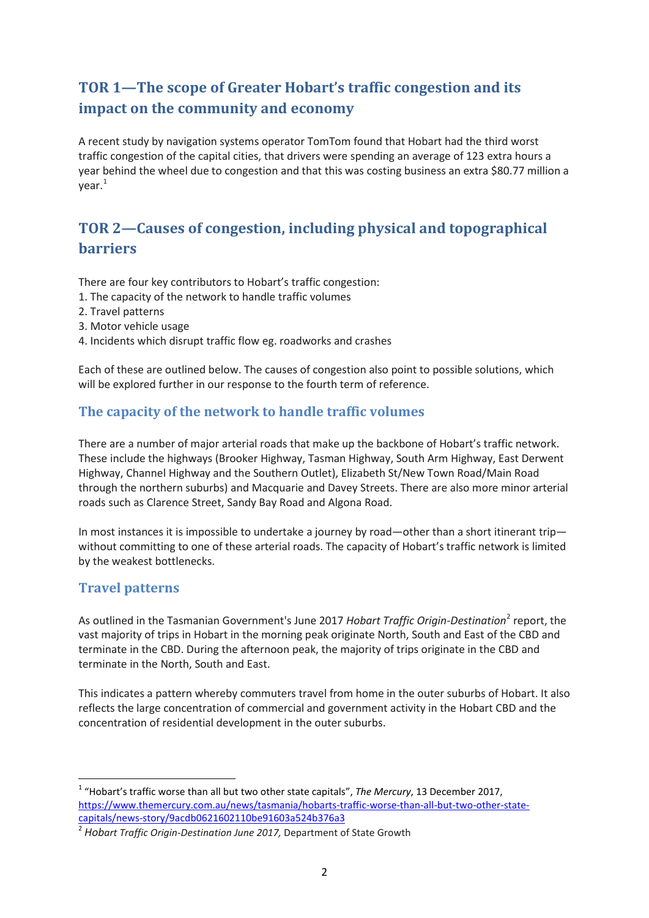# **TOR 1—The scope of Greater Hobart's traffic congestion and its impact on the community and economy**

A recent study by navigation systems operator TomTom found that Hobart had the third worst traffic congestion of the capital cities, that drivers were spending an average of 123 extra hours a year behind the wheel due to congestion and that this was costing business an extra \$80.77 million a year.<sup>[1](#page-1-0)</sup>

# **TOR 2—Causes of congestion, including physical and topographical barriers**

There are four key contributors to Hobart's traffic congestion:

- 1. The capacity of the network to handle traffic volumes
- 2. Travel patterns
- 3. Motor vehicle usage
- 4. Incidents which disrupt traffic flow eg. roadworks and crashes

Each of these are outlined below. The causes of congestion also point to possible solutions, which will be explored further in our response to the fourth term of reference.

#### **The capacity of the network to handle traffic volumes**

There are a number of major arterial roads that make up the backbone of Hobart's traffic network. These include the highways (Brooker Highway, Tasman Highway, South Arm Highway, East Derwent Highway, Channel Highway and the Southern Outlet), Elizabeth St/New Town Road/Main Road through the northern suburbs) and Macquarie and Davey Streets. There are also more minor arterial roads such as Clarence Street, Sandy Bay Road and Algona Road.

In most instances it is impossible to undertake a journey by road—other than a short itinerant trip without committing to one of these arterial roads. The capacity of Hobart's traffic network is limited by the weakest bottlenecks.

#### **Travel patterns**

As outlined in the Tasmanian Government's June 2017 *Hobart Traffic Origin-Destination*[2](#page-1-1) report, the vast majority of trips in Hobart in the morning peak originate North, South and East of the CBD and terminate in the CBD. During the afternoon peak, the majority of trips originate in the CBD and terminate in the North, South and East.

This indicates a pattern whereby commuters travel from home in the outer suburbs of Hobart. It also reflects the large concentration of commercial and government activity in the Hobart CBD and the concentration of residential development in the outer suburbs.

<span id="page-1-0"></span> <sup>1</sup> "Hobart's traffic worse than all but two other state capitals", *The Mercury*, 13 December 2017, [https://www.themercury.com.au/news/tasmania/hobarts-traffic-worse-than-all-but-two-other-state](https://www.themercury.com.au/news/tasmania/hobarts-traffic-worse-than-all-but-two-other-state-capitals/news-story/9acdb0621602110be91603a524b376a3)[capitals/news-story/9acdb0621602110be91603a524b376a3](https://www.themercury.com.au/news/tasmania/hobarts-traffic-worse-than-all-but-two-other-state-capitals/news-story/9acdb0621602110be91603a524b376a3)

<span id="page-1-1"></span><sup>2</sup> *Hobart Traffic Origin-Destination June 2017,* Department of State Growth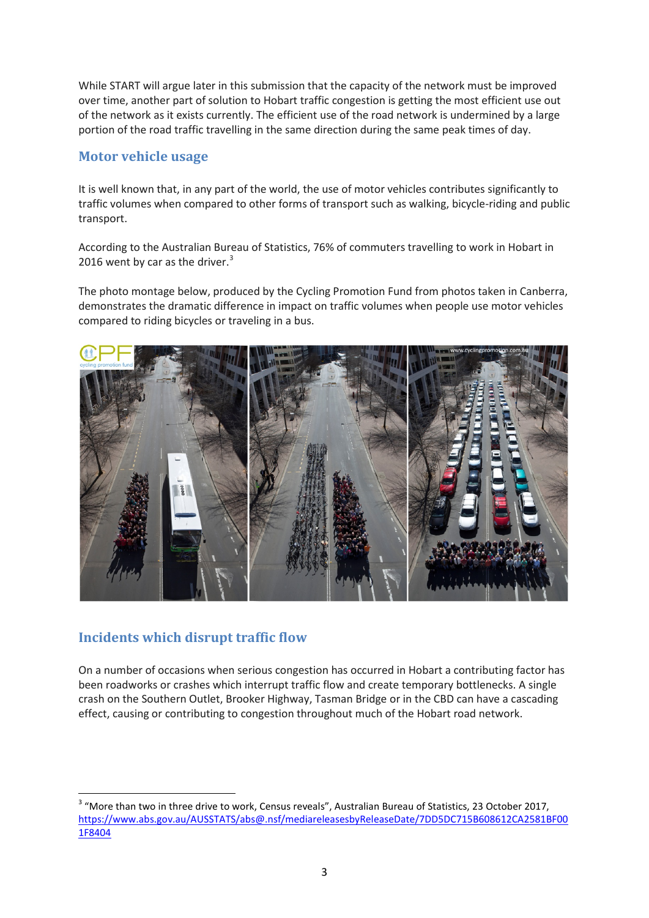While START will argue later in this submission that the capacity of the network must be improved over time, another part of solution to Hobart traffic congestion is getting the most efficient use out of the network as it exists currently. The efficient use of the road network is undermined by a large portion of the road traffic travelling in the same direction during the same peak times of day.

#### **Motor vehicle usage**

It is well known that, in any part of the world, the use of motor vehicles contributes significantly to traffic volumes when compared to other forms of transport such as walking, bicycle-riding and public transport.

According to the Australian Bureau of Statistics, 76% of commuters travelling to work in Hobart in 2016 went by car as the driver. $3$ 

The photo montage below, produced by the Cycling Promotion Fund from photos taken in Canberra, demonstrates the dramatic difference in impact on traffic volumes when people use motor vehicles compared to riding bicycles or traveling in a bus.



### **Incidents which disrupt traffic flow**

On a number of occasions when serious congestion has occurred in Hobart a contributing factor has been roadworks or crashes which interrupt traffic flow and create temporary bottlenecks. A single crash on the Southern Outlet, Brooker Highway, Tasman Bridge or in the CBD can have a cascading effect, causing or contributing to congestion throughout much of the Hobart road network.

<span id="page-2-0"></span><sup>&</sup>lt;sup>3</sup> "More than two in three drive to work, Census reveals", Australian Bureau of Statistics, 23 October 2017, [https://www.abs.gov.au/AUSSTATS/abs@.nsf/mediareleasesbyReleaseDate/7DD5DC715B608612CA2581BF00](https://www.abs.gov.au/AUSSTATS/abs@.nsf/mediareleasesbyReleaseDate/7DD5DC715B608612CA2581BF001F8404?OpenDocument) [1F8404](https://www.abs.gov.au/AUSSTATS/abs@.nsf/mediareleasesbyReleaseDate/7DD5DC715B608612CA2581BF001F8404?OpenDocument)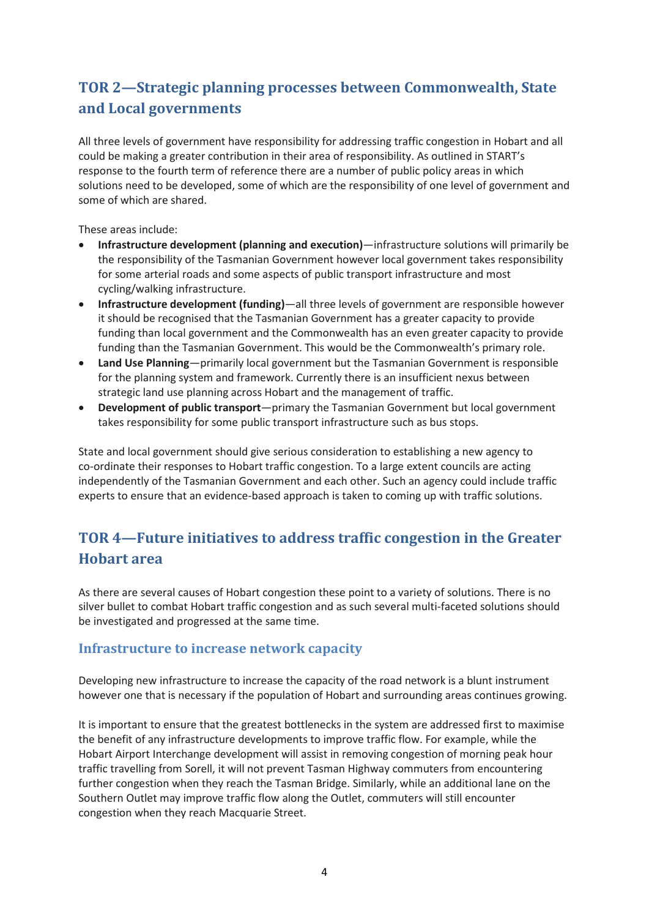# **TOR 2—Strategic planning processes between Commonwealth, State and Local governments**

All three levels of government have responsibility for addressing traffic congestion in Hobart and all could be making a greater contribution in their area of responsibility. As outlined in START's response to the fourth term of reference there are a number of public policy areas in which solutions need to be developed, some of which are the responsibility of one level of government and some of which are shared.

These areas include:

- **Infrastructure development (planning and execution)**—infrastructure solutions will primarily be the responsibility of the Tasmanian Government however local government takes responsibility for some arterial roads and some aspects of public transport infrastructure and most cycling/walking infrastructure.
- **Infrastructure development (funding)**—all three levels of government are responsible however it should be recognised that the Tasmanian Government has a greater capacity to provide funding than local government and the Commonwealth has an even greater capacity to provide funding than the Tasmanian Government. This would be the Commonwealth's primary role.
- **Land Use Planning**—primarily local government but the Tasmanian Government is responsible for the planning system and framework. Currently there is an insufficient nexus between strategic land use planning across Hobart and the management of traffic.
- **Development of public transport**—primary the Tasmanian Government but local government takes responsibility for some public transport infrastructure such as bus stops.

State and local government should give serious consideration to establishing a new agency to co-ordinate their responses to Hobart traffic congestion. To a large extent councils are acting independently of the Tasmanian Government and each other. Such an agency could include traffic experts to ensure that an evidence-based approach is taken to coming up with traffic solutions.

## **TOR 4—Future initiatives to address traffic congestion in the Greater Hobart area**

As there are several causes of Hobart congestion these point to a variety of solutions. There is no silver bullet to combat Hobart traffic congestion and as such several multi-faceted solutions should be investigated and progressed at the same time.

#### **Infrastructure to increase network capacity**

Developing new infrastructure to increase the capacity of the road network is a blunt instrument however one that is necessary if the population of Hobart and surrounding areas continues growing.

It is important to ensure that the greatest bottlenecks in the system are addressed first to maximise the benefit of any infrastructure developments to improve traffic flow. For example, while the Hobart Airport Interchange development will assist in removing congestion of morning peak hour traffic travelling from Sorell, it will not prevent Tasman Highway commuters from encountering further congestion when they reach the Tasman Bridge. Similarly, while an additional lane on the Southern Outlet may improve traffic flow along the Outlet, commuters will still encounter congestion when they reach Macquarie Street.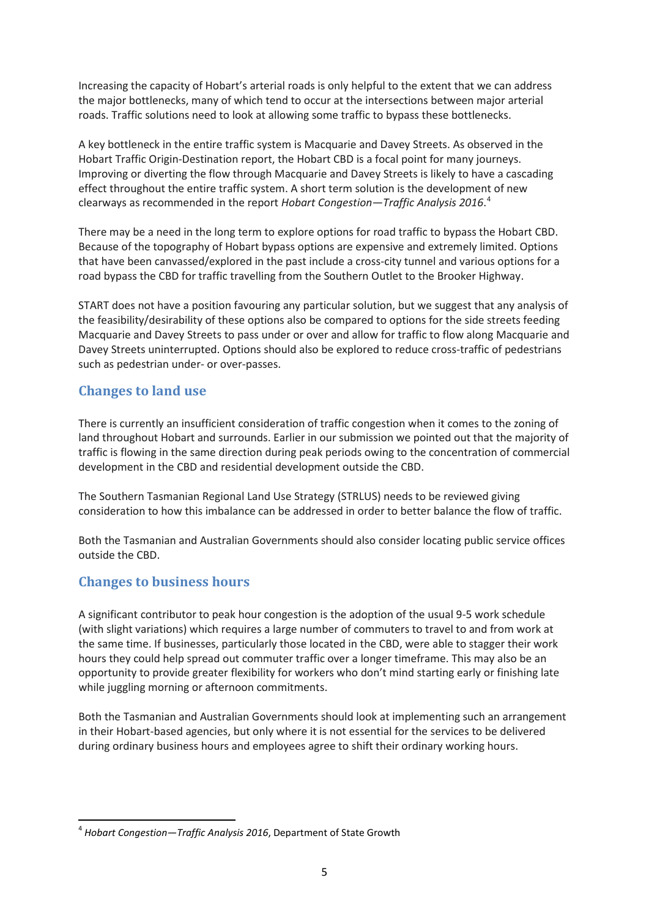Increasing the capacity of Hobart's arterial roads is only helpful to the extent that we can address the major bottlenecks, many of which tend to occur at the intersections between major arterial roads. Traffic solutions need to look at allowing some traffic to bypass these bottlenecks.

A key bottleneck in the entire traffic system is Macquarie and Davey Streets. As observed in the Hobart Traffic Origin-Destination report, the Hobart CBD is a focal point for many journeys. Improving or diverting the flow through Macquarie and Davey Streets is likely to have a cascading effect throughout the entire traffic system. A short term solution is the development of new clearways as recommended in the report *Hobart Congestion—Traffic Analysis 2016*. [4](#page-4-0)

There may be a need in the long term to explore options for road traffic to bypass the Hobart CBD. Because of the topography of Hobart bypass options are expensive and extremely limited. Options that have been canvassed/explored in the past include a cross-city tunnel and various options for a road bypass the CBD for traffic travelling from the Southern Outlet to the Brooker Highway.

START does not have a position favouring any particular solution, but we suggest that any analysis of the feasibility/desirability of these options also be compared to options for the side streets feeding Macquarie and Davey Streets to pass under or over and allow for traffic to flow along Macquarie and Davey Streets uninterrupted. Options should also be explored to reduce cross-traffic of pedestrians such as pedestrian under- or over-passes.

### **Changes to land use**

There is currently an insufficient consideration of traffic congestion when it comes to the zoning of land throughout Hobart and surrounds. Earlier in our submission we pointed out that the majority of traffic is flowing in the same direction during peak periods owing to the concentration of commercial development in the CBD and residential development outside the CBD.

The Southern Tasmanian Regional Land Use Strategy (STRLUS) needs to be reviewed giving consideration to how this imbalance can be addressed in order to better balance the flow of traffic.

Both the Tasmanian and Australian Governments should also consider locating public service offices outside the CBD.

### **Changes to business hours**

A significant contributor to peak hour congestion is the adoption of the usual 9-5 work schedule (with slight variations) which requires a large number of commuters to travel to and from work at the same time. If businesses, particularly those located in the CBD, were able to stagger their work hours they could help spread out commuter traffic over a longer timeframe. This may also be an opportunity to provide greater flexibility for workers who don't mind starting early or finishing late while juggling morning or afternoon commitments.

Both the Tasmanian and Australian Governments should look at implementing such an arrangement in their Hobart-based agencies, but only where it is not essential for the services to be delivered during ordinary business hours and employees agree to shift their ordinary working hours.

<span id="page-4-0"></span> <sup>4</sup> *Hobart Congestion—Traffic Analysis 2016*, Department of State Growth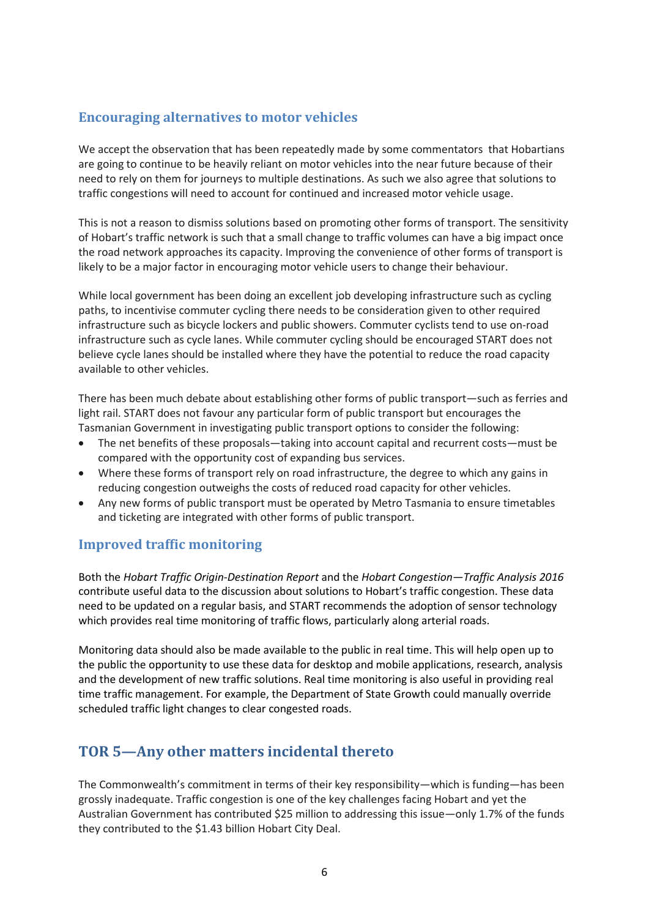### **Encouraging alternatives to motor vehicles**

We accept the observation that has been repeatedly made by some commentators that Hobartians are going to continue to be heavily reliant on motor vehicles into the near future because of their need to rely on them for journeys to multiple destinations. As such we also agree that solutions to traffic congestions will need to account for continued and increased motor vehicle usage.

This is not a reason to dismiss solutions based on promoting other forms of transport. The sensitivity of Hobart's traffic network is such that a small change to traffic volumes can have a big impact once the road network approaches its capacity. Improving the convenience of other forms of transport is likely to be a major factor in encouraging motor vehicle users to change their behaviour.

While local government has been doing an excellent job developing infrastructure such as cycling paths, to incentivise commuter cycling there needs to be consideration given to other required infrastructure such as bicycle lockers and public showers. Commuter cyclists tend to use on-road infrastructure such as cycle lanes. While commuter cycling should be encouraged START does not believe cycle lanes should be installed where they have the potential to reduce the road capacity available to other vehicles.

There has been much debate about establishing other forms of public transport—such as ferries and light rail. START does not favour any particular form of public transport but encourages the Tasmanian Government in investigating public transport options to consider the following:

- The net benefits of these proposals—taking into account capital and recurrent costs—must be compared with the opportunity cost of expanding bus services.
- Where these forms of transport rely on road infrastructure, the degree to which any gains in reducing congestion outweighs the costs of reduced road capacity for other vehicles.
- Any new forms of public transport must be operated by Metro Tasmania to ensure timetables and ticketing are integrated with other forms of public transport.

### **Improved traffic monitoring**

Both the *Hobart Traffic Origin-Destination Report* and the *Hobart Congestion—Traffic Analysis 2016* contribute useful data to the discussion about solutions to Hobart's traffic congestion. These data need to be updated on a regular basis, and START recommends the adoption of sensor technology which provides real time monitoring of traffic flows, particularly along arterial roads.

Monitoring data should also be made available to the public in real time. This will help open up to the public the opportunity to use these data for desktop and mobile applications, research, analysis and the development of new traffic solutions. Real time monitoring is also useful in providing real time traffic management. For example, the Department of State Growth could manually override scheduled traffic light changes to clear congested roads.

## **TOR 5—Any other matters incidental thereto**

The Commonwealth's commitment in terms of their key responsibility—which is funding—has been grossly inadequate. Traffic congestion is one of the key challenges facing Hobart and yet the Australian Government has contributed \$25 million to addressing this issue—only 1.7% of the funds they contributed to the \$1.43 billion Hobart City Deal.